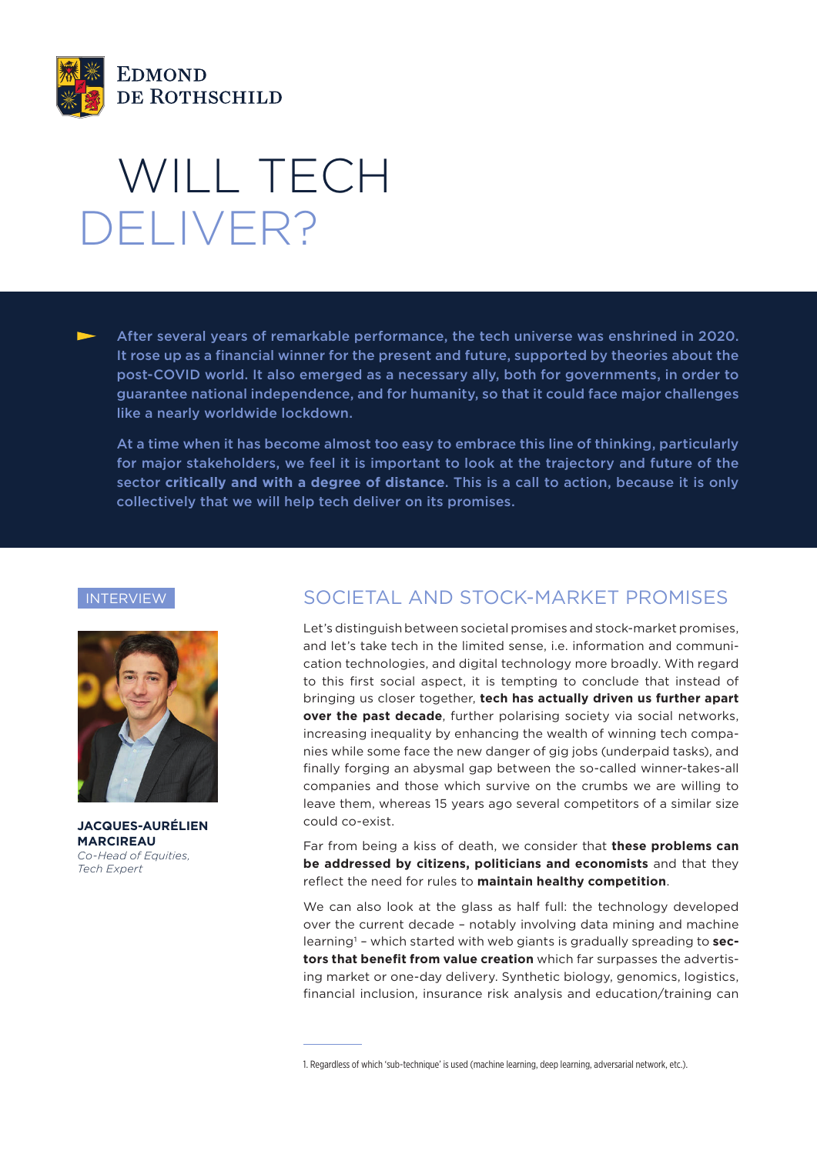

# WILL TECH DELIVER?

After several years of remarkable performance, the tech universe was enshrined in 2020. It rose up as a financial winner for the present and future, supported by theories about the post-COVID world. It also emerged as a necessary ally, both for governments, in order to guarantee national independence, and for humanity, so that it could face major challenges like a nearly worldwide lockdown.

At a time when it has become almost too easy to embrace this line of thinking, particularly for major stakeholders, we feel it is important to look at the trajectory and future of the sector **critically and with a degree of distance**. This is a call to action, because it is only collectively that we will help tech deliver on its promises.

#### INTERVIEW



**JACQUES-AURÉLIEN MARCIREAU** *Co-Head of Equities, Tech Expert*

## SOCIETAL AND STOCK-MARKET PROMISES

Let's distinguish between societal promises and stock-market promises, and let's take tech in the limited sense, i.e. information and communication technologies, and digital technology more broadly. With regard to this first social aspect, it is tempting to conclude that instead of bringing us closer together, **tech has actually driven us further apart over the past decade**, further polarising society via social networks, increasing inequality by enhancing the wealth of winning tech companies while some face the new danger of gig jobs (underpaid tasks), and finally forging an abysmal gap between the so-called winner-takes-all companies and those which survive on the crumbs we are willing to leave them, whereas 15 years ago several competitors of a similar size could co-exist.

Far from being a kiss of death, we consider that **these problems can be addressed by citizens, politicians and economists** and that they reflect the need for rules to **maintain healthy competition**.

We can also look at the glass as half full: the technology developed over the current decade – notably involving data mining and machine learning1 – which started with web giants is gradually spreading to **sectors that benefit from value creation** which far surpasses the advertising market or one-day delivery. Synthetic biology, genomics, logistics, financial inclusion, insurance risk analysis and education/training can

<sup>1.</sup> Regardless of which 'sub-technique' is used (machine learning, deep learning, adversarial network, etc.).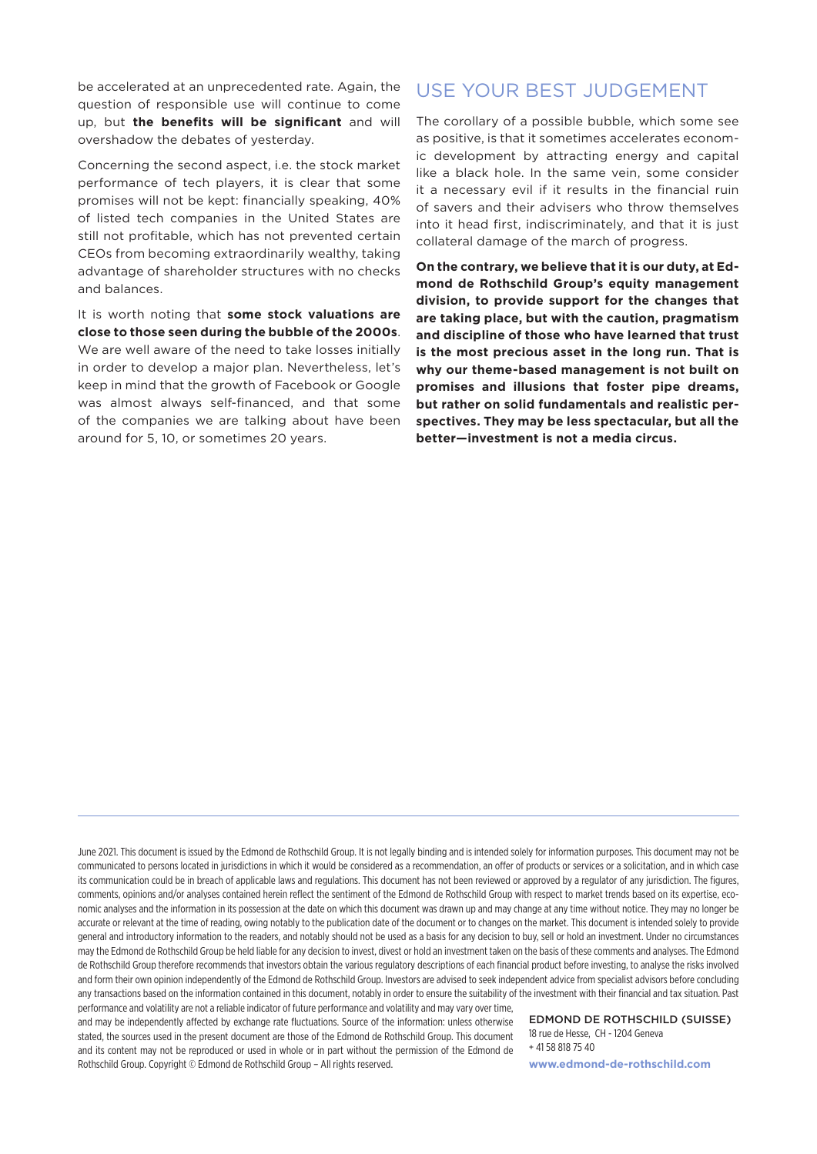be accelerated at an unprecedented rate. Again, the question of responsible use will continue to come up, but **the benefits will be significant** and will overshadow the debates of yesterday.

Concerning the second aspect, i.e. the stock market performance of tech players, it is clear that some promises will not be kept: financially speaking, 40% of listed tech companies in the United States are still not profitable, which has not prevented certain CEOs from becoming extraordinarily wealthy, taking advantage of shareholder structures with no checks and balances.

It is worth noting that **some stock valuations are close to those seen during the bubble of the 2000s**. We are well aware of the need to take losses initially in order to develop a major plan. Nevertheless, let's keep in mind that the growth of Facebook or Google was almost always self-financed, and that some of the companies we are talking about have been around for 5, 10, or sometimes 20 years.

## USE YOUR BEST JUDGEMENT

The corollary of a possible bubble, which some see as positive, is that it sometimes accelerates economic development by attracting energy and capital like a black hole. In the same vein, some consider it a necessary evil if it results in the financial ruin of savers and their advisers who throw themselves into it head first, indiscriminately, and that it is just collateral damage of the march of progress.

**On the contrary, we believe that it is our duty, at Edmond de Rothschild Group's equity management division, to provide support for the changes that are taking place, but with the caution, pragmatism and discipline of those who have learned that trust is the most precious asset in the long run. That is why our theme-based management is not built on promises and illusions that foster pipe dreams, but rather on solid fundamentals and realistic perspectives. They may be less spectacular, but all the better—investment is not a media circus.**

June 2021. This document is issued by the Edmond de Rothschild Group. It is not legally binding and is intended solely for information purposes. This document may not be communicated to persons located in jurisdictions in which it would be considered as a recommendation, an offer of products or services or a solicitation, and in which case its communication could be in breach of applicable laws and regulations. This document has not been reviewed or approved by a regulator of any jurisdiction. The figures, comments, opinions and/or analyses contained herein reflect the sentiment of the Edmond de Rothschild Group with respect to market trends based on its expertise, economic analyses and the information in its possession at the date on which this document was drawn up and may change at any time without notice. They may no longer be accurate or relevant at the time of reading, owing notably to the publication date of the document or to changes on the market. This document is intended solely to provide general and introductory information to the readers, and notably should not be used as a basis for any decision to buy, sell or hold an investment. Under no circumstances may the Edmond de Rothschild Group be held liable for any decision to invest, divest or hold an investment taken on the basis of these comments and analyses. The Edmond de Rothschild Group therefore recommends that investors obtain the various regulatory descriptions of each financial product before investing, to analyse the risks involved and form their own opinion independently of the Edmond de Rothschild Group. Investors are advised to seek independent advice from specialist advisors before concluding any transactions based on the information contained in this document, notably in order to ensure the suitability of the investment with their financial and tax situation. Past

performance and volatility are not a reliable indicator of future performance and volatility and may vary over time, and may be independently affected by exchange rate fluctuations. Source of the information: unless otherwise stated, the sources used in the present document are those of the Edmond de Rothschild Group. This document and its content may not be reproduced or used in whole or in part without the permission of the Edmond de Rothschild Group. Copyright © Edmond de Rothschild Group – All rights reserved.

EDMOND DE ROTHSCHILD (SUISSE) 18 rue de Hesse, CH - 1204 Geneva + 41 58 818 75 40

**www.edmond-de-rothschild.com**